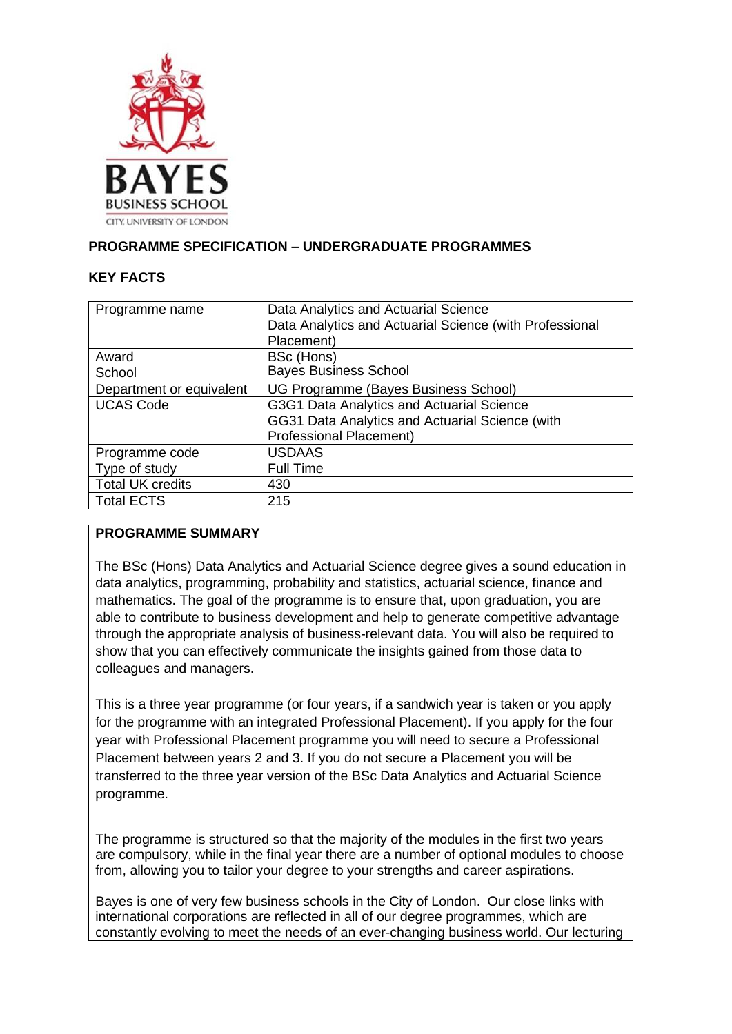

# **PROGRAMME SPECIFICATION – UNDERGRADUATE PROGRAMMES**

#### **KEY FACTS**

| Programme name           | Data Analytics and Actuarial Science<br>Data Analytics and Actuarial Science (with Professional |
|--------------------------|-------------------------------------------------------------------------------------------------|
|                          | Placement)                                                                                      |
| Award                    | BSc (Hons)                                                                                      |
| School                   | <b>Bayes Business School</b>                                                                    |
| Department or equivalent | UG Programme (Bayes Business School)                                                            |
| <b>UCAS Code</b>         | G3G1 Data Analytics and Actuarial Science                                                       |
|                          | GG31 Data Analytics and Actuarial Science (with                                                 |
|                          | <b>Professional Placement)</b>                                                                  |
| Programme code           | <b>USDAAS</b>                                                                                   |
| Type of study            | <b>Full Time</b>                                                                                |
| <b>Total UK credits</b>  | 430                                                                                             |
| <b>Total ECTS</b>        | 215                                                                                             |

### **PROGRAMME SUMMARY**

The BSc (Hons) Data Analytics and Actuarial Science degree gives a sound education in data analytics, programming, probability and statistics, actuarial science, finance and mathematics. The goal of the programme is to ensure that, upon graduation, you are able to contribute to business development and help to generate competitive advantage through the appropriate analysis of business-relevant data. You will also be required to show that you can effectively communicate the insights gained from those data to colleagues and managers.

This is a three year programme (or four years, if a sandwich year is taken or you apply for the programme with an integrated Professional Placement). If you apply for the four year with Professional Placement programme you will need to secure a Professional Placement between years 2 and 3. If you do not secure a Placement you will be transferred to the three year version of the BSc Data Analytics and Actuarial Science programme.

The programme is structured so that the majority of the modules in the first two years are compulsory, while in the final year there are a number of optional modules to choose from, allowing you to tailor your degree to your strengths and career aspirations.

Bayes is one of very few business schools in the City of London. Our close links with international corporations are reflected in all of our degree programmes, which are constantly evolving to meet the needs of an ever-changing business world. Our lecturing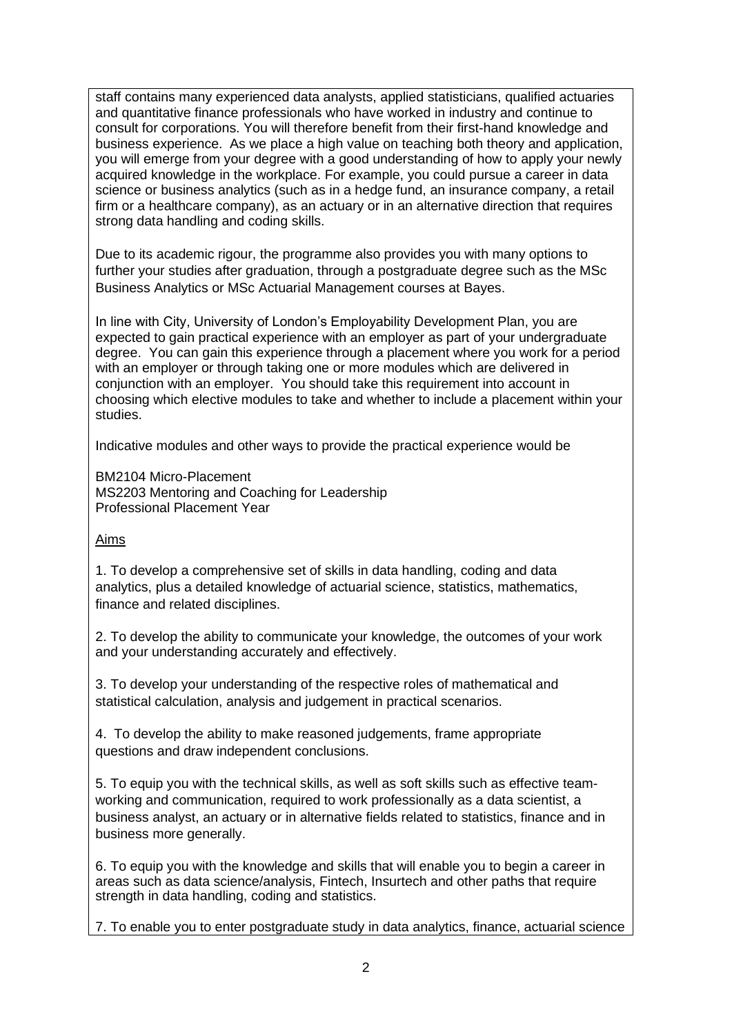staff contains many experienced data analysts, applied statisticians, qualified actuaries and quantitative finance professionals who have worked in industry and continue to consult for corporations. You will therefore benefit from their first-hand knowledge and business experience. As we place a high value on teaching both theory and application, you will emerge from your degree with a good understanding of how to apply your newly acquired knowledge in the workplace. For example, you could pursue a career in data science or business analytics (such as in a hedge fund, an insurance company, a retail firm or a healthcare company), as an actuary or in an alternative direction that requires strong data handling and coding skills.

Due to its academic rigour, the programme also provides you with many options to further your studies after graduation, through a postgraduate degree such as the MSc Business Analytics or MSc Actuarial Management courses at Bayes.

In line with City, University of London's Employability Development Plan, you are expected to gain practical experience with an employer as part of your undergraduate degree. You can gain this experience through a placement where you work for a period with an employer or through taking one or more modules which are delivered in conjunction with an employer. You should take this requirement into account in choosing which elective modules to take and whether to include a placement within your studies.

Indicative modules and other ways to provide the practical experience would be

BM2104 Micro-Placement MS2203 Mentoring and Coaching for Leadership Professional Placement Year

#### Aims

1. To develop a comprehensive set of skills in data handling, coding and data analytics, plus a detailed knowledge of actuarial science, statistics, mathematics, finance and related disciplines.

2. To develop the ability to communicate your knowledge, the outcomes of your work and your understanding accurately and effectively.

3. To develop your understanding of the respective roles of mathematical and statistical calculation, analysis and judgement in practical scenarios.

4. To develop the ability to make reasoned judgements, frame appropriate questions and draw independent conclusions.

5. To equip you with the technical skills, as well as soft skills such as effective teamworking and communication, required to work professionally as a data scientist, a business analyst, an actuary or in alternative fields related to statistics, finance and in business more generally.

6. To equip you with the knowledge and skills that will enable you to begin a career in areas such as data science/analysis, Fintech, Insurtech and other paths that require strength in data handling, coding and statistics.

7. To enable you to enter postgraduate study in data analytics, finance, actuarial science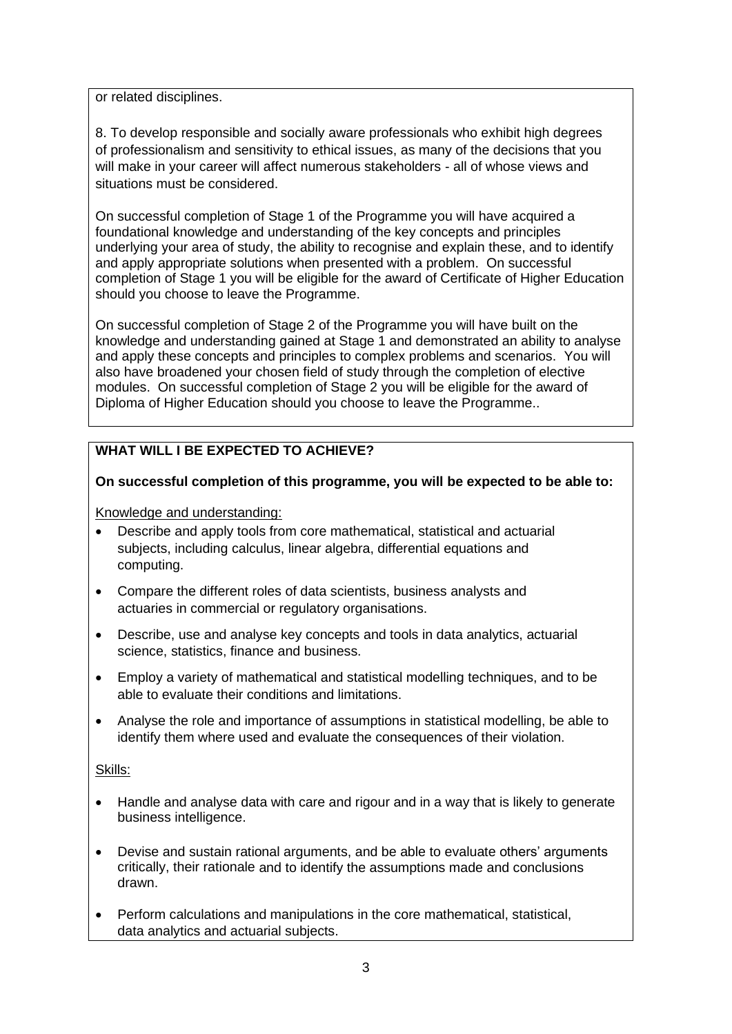or related disciplines.

8. To develop responsible and socially aware professionals who exhibit high degrees of professionalism and sensitivity to ethical issues, as many of the decisions that you will make in your career will affect numerous stakeholders - all of whose views and situations must be considered.

On successful completion of Stage 1 of the Programme you will have acquired a foundational knowledge and understanding of the key concepts and principles underlying your area of study, the ability to recognise and explain these, and to identify and apply appropriate solutions when presented with a problem. On successful completion of Stage 1 you will be eligible for the award of Certificate of Higher Education should you choose to leave the Programme.

On successful completion of Stage 2 of the Programme you will have built on the knowledge and understanding gained at Stage 1 and demonstrated an ability to analyse and apply these concepts and principles to complex problems and scenarios. You will also have broadened your chosen field of study through the completion of elective modules. On successful completion of Stage 2 you will be eligible for the award of Diploma of Higher Education should you choose to leave the Programme..

# **WHAT WILL I BE EXPECTED TO ACHIEVE?**

#### **On successful completion of this programme, you will be expected to be able to:**

Knowledge and understanding:

- Describe and apply tools from core mathematical, statistical and actuarial subjects, including calculus, linear algebra, differential equations and computing.
- Compare the different roles of data scientists, business analysts and actuaries in commercial or regulatory organisations.
- Describe, use and analyse key concepts and tools in data analytics, actuarial science, statistics, finance and business.
- Employ a variety of mathematical and statistical modelling techniques, and to be able to evaluate their conditions and limitations.
- Analyse the role and importance of assumptions in statistical modelling, be able to identify them where used and evaluate the consequences of their violation.

#### Skills:

- Handle and analyse data with care and rigour and in a way that is likely to generate business intelligence.
- Devise and sustain rational arguments, and be able to evaluate others' arguments critically, their rationale and to identify the assumptions made and conclusions drawn.
- Perform calculations and manipulations in the core mathematical, statistical, data analytics and actuarial subjects.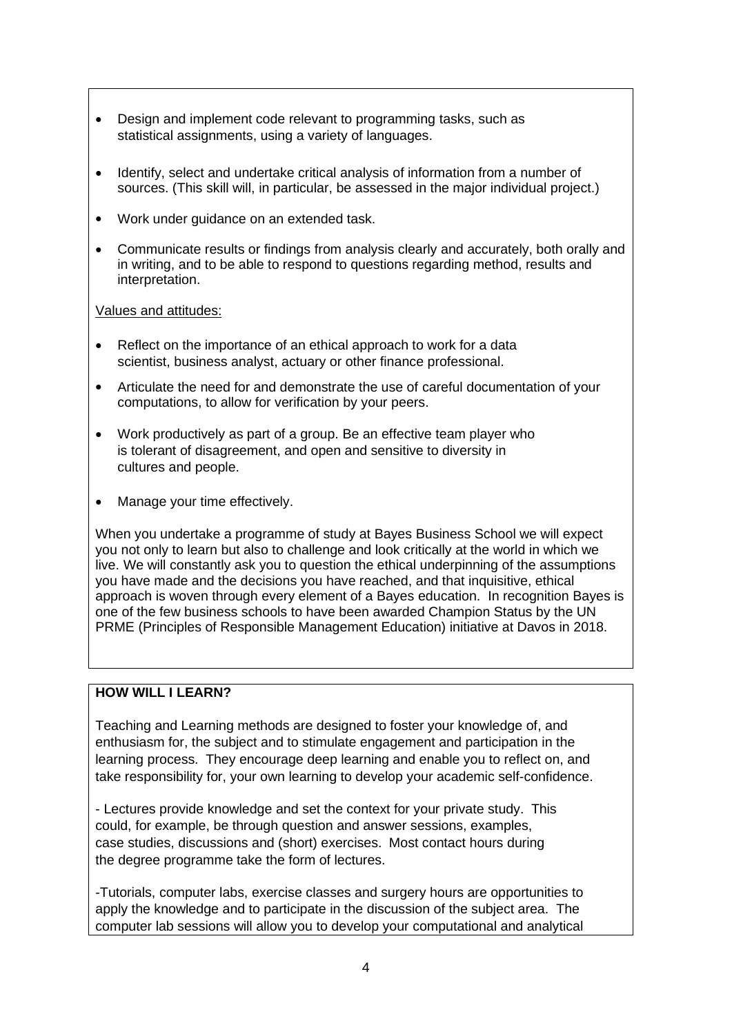- Design and implement code relevant to programming tasks, such as statistical assignments, using a variety of languages.
- Identify, select and undertake critical analysis of information from a number of sources. (This skill will, in particular, be assessed in the major individual project.)
- Work under guidance on an extended task.
- Communicate results or findings from analysis clearly and accurately, both orally and in writing, and to be able to respond to questions regarding method, results and interpretation.

#### Values and attitudes:

- Reflect on the importance of an ethical approach to work for a data scientist, business analyst, actuary or other finance professional.
- Articulate the need for and demonstrate the use of careful documentation of your computations, to allow for verification by your peers.
- Work productively as part of a group. Be an effective team player who is tolerant of disagreement, and open and sensitive to diversity in cultures and people.
- Manage your time effectively.

When you undertake a programme of study at Bayes Business School we will expect you not only to learn but also to challenge and look critically at the world in which we live. We will constantly ask you to question the ethical underpinning of the assumptions you have made and the decisions you have reached, and that inquisitive, ethical approach is woven through every element of a Bayes education. In recognition Bayes is one of the few business schools to have been awarded Champion Status by the UN PRME (Principles of Responsible Management Education) initiative at Davos in 2018.

# **HOW WILL I LEARN?**

Teaching and Learning methods are designed to foster your knowledge of, and enthusiasm for, the subject and to stimulate engagement and participation in the learning process. They encourage deep learning and enable you to reflect on, and take responsibility for, your own learning to develop your academic self-confidence.

- Lectures provide knowledge and set the context for your private study. This could, for example, be through question and answer sessions, examples, case studies, discussions and (short) exercises. Most contact hours during the degree programme take the form of lectures.

-Tutorials, computer labs, exercise classes and surgery hours are opportunities to apply the knowledge and to participate in the discussion of the subject area. The computer lab sessions will allow you to develop your computational and analytical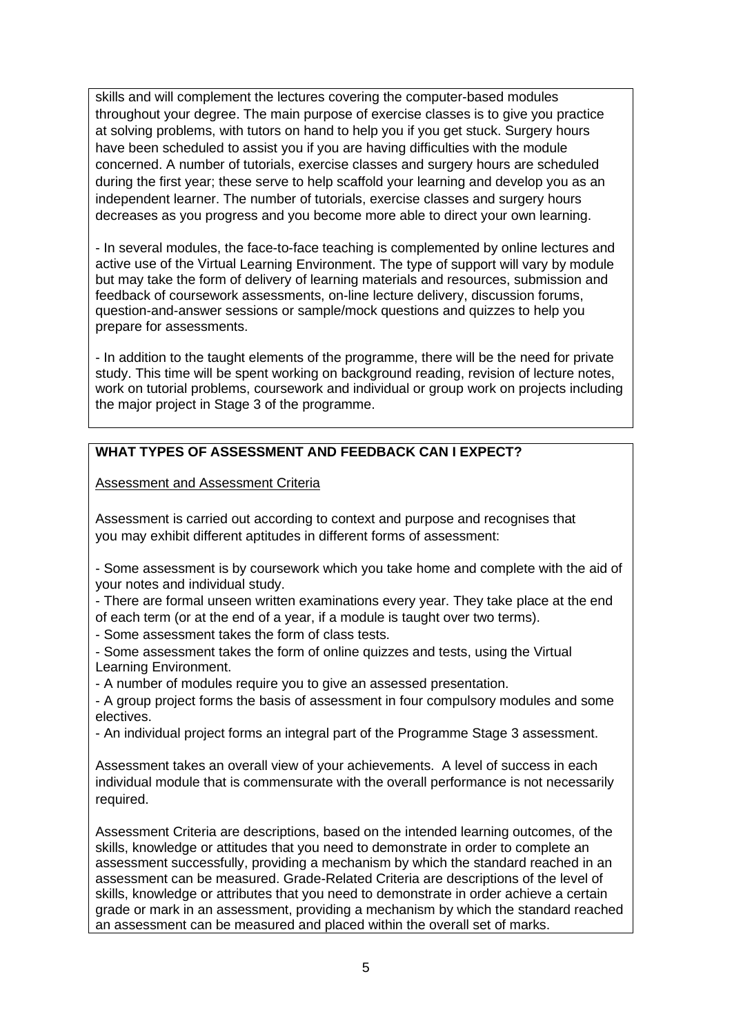skills and will complement the lectures covering the computer-based modules throughout your degree. The main purpose of exercise classes is to give you practice at solving problems, with tutors on hand to help you if you get stuck. Surgery hours have been scheduled to assist you if you are having difficulties with the module concerned. A number of tutorials, exercise classes and surgery hours are scheduled during the first year; these serve to help scaffold your learning and develop you as an independent learner. The number of tutorials, exercise classes and surgery hours decreases as you progress and you become more able to direct your own learning.

- In several modules, the face-to-face teaching is complemented by online lectures and active use of the Virtual Learning Environment. The type of support will vary by module but may take the form of delivery of learning materials and resources, submission and feedback of coursework assessments, on-line lecture delivery, discussion forums, question-and-answer sessions or sample/mock questions and quizzes to help you prepare for assessments.

- In addition to the taught elements of the programme, there will be the need for private study. This time will be spent working on background reading, revision of lecture notes, work on tutorial problems, coursework and individual or group work on projects including the major project in Stage 3 of the programme.

# **WHAT TYPES OF ASSESSMENT AND FEEDBACK CAN I EXPECT?**

Assessment and Assessment Criteria

Assessment is carried out according to context and purpose and recognises that you may exhibit different aptitudes in different forms of assessment:

- Some assessment is by coursework which you take home and complete with the aid of your notes and individual study.

- There are formal unseen written examinations every year. They take place at the end of each term (or at the end of a year, if a module is taught over two terms).

- Some assessment takes the form of class tests.

- Some assessment takes the form of online quizzes and tests, using the Virtual Learning Environment.

- A number of modules require you to give an assessed presentation.

- A group project forms the basis of assessment in four compulsory modules and some electives.

- An individual project forms an integral part of the Programme Stage 3 assessment.

Assessment takes an overall view of your achievements. A level of success in each individual module that is commensurate with the overall performance is not necessarily required.

Assessment Criteria are descriptions, based on the intended learning outcomes, of the skills, knowledge or attitudes that you need to demonstrate in order to complete an assessment successfully, providing a mechanism by which the standard reached in an assessment can be measured. Grade-Related Criteria are descriptions of the level of skills, knowledge or attributes that you need to demonstrate in order achieve a certain grade or mark in an assessment, providing a mechanism by which the standard reached an assessment can be measured and placed within the overall set of marks.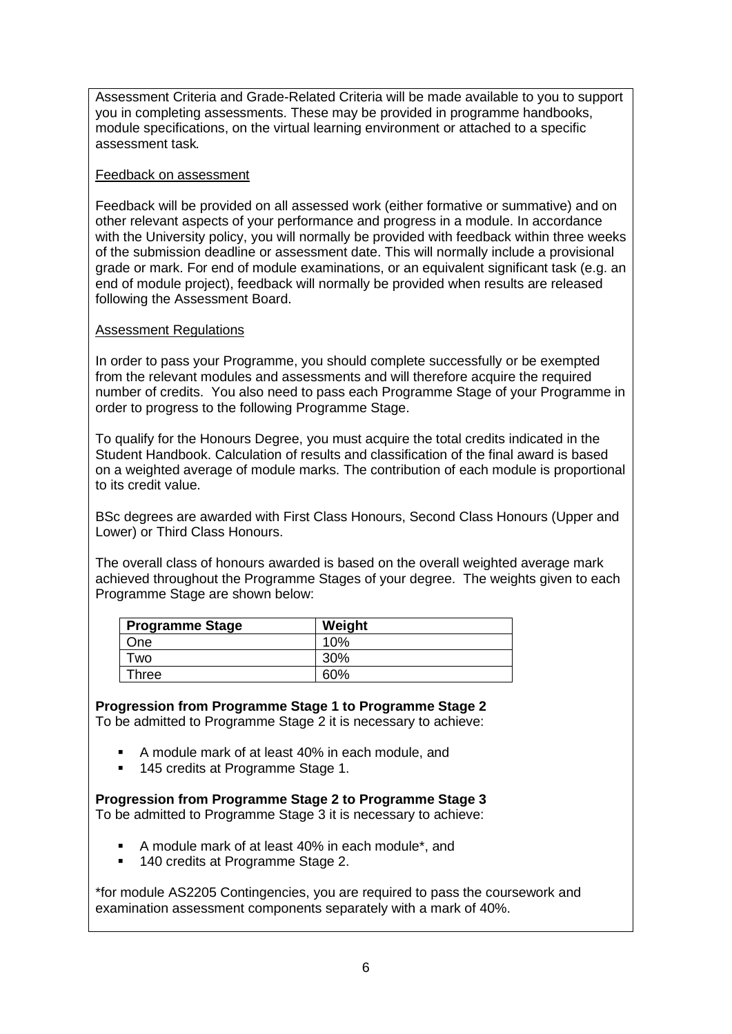Assessment Criteria and Grade-Related Criteria will be made available to you to support you in completing assessments. These may be provided in programme handbooks, module specifications, on the virtual learning environment or attached to a specific assessment task*.*

#### Feedback on assessment

Feedback will be provided on all assessed work (either formative or summative) and on other relevant aspects of your performance and progress in a module. In accordance with the University policy, you will normally be provided with feedback within three weeks of the submission deadline or assessment date. This will normally include a provisional grade or mark. For end of module examinations, or an equivalent significant task (e.g. an end of module project), feedback will normally be provided when results are released following the Assessment Board.

### Assessment Regulations

In order to pass your Programme, you should complete successfully or be exempted from the relevant modules and assessments and will therefore acquire the required number of credits. You also need to pass each Programme Stage of your Programme in order to progress to the following Programme Stage.

To qualify for the Honours Degree, you must acquire the total credits indicated in the Student Handbook. Calculation of results and classification of the final award is based on a weighted average of module marks. The contribution of each module is proportional to its credit value.

BSc degrees are awarded with First Class Honours, Second Class Honours (Upper and Lower) or Third Class Honours.

The overall class of honours awarded is based on the overall weighted average mark achieved throughout the Programme Stages of your degree. The weights given to each Programme Stage are shown below:

| <b>Programme Stage</b> | Weight |
|------------------------|--------|
| One                    | 10%    |
| <b>WO</b>              | 30%    |
| Three                  | 60%    |

# **Progression from Programme Stage 1 to Programme Stage 2**

To be admitted to Programme Stage 2 it is necessary to achieve:

- A module mark of at least 40% in each module, and
- 145 credits at Programme Stage 1.

### **Progression from Programme Stage 2 to Programme Stage 3**

To be admitted to Programme Stage 3 it is necessary to achieve:

- A module mark of at least 40% in each module\*, and
- 140 credits at Programme Stage 2.

\*for module AS2205 Contingencies, you are required to pass the coursework and examination assessment components separately with a mark of 40%.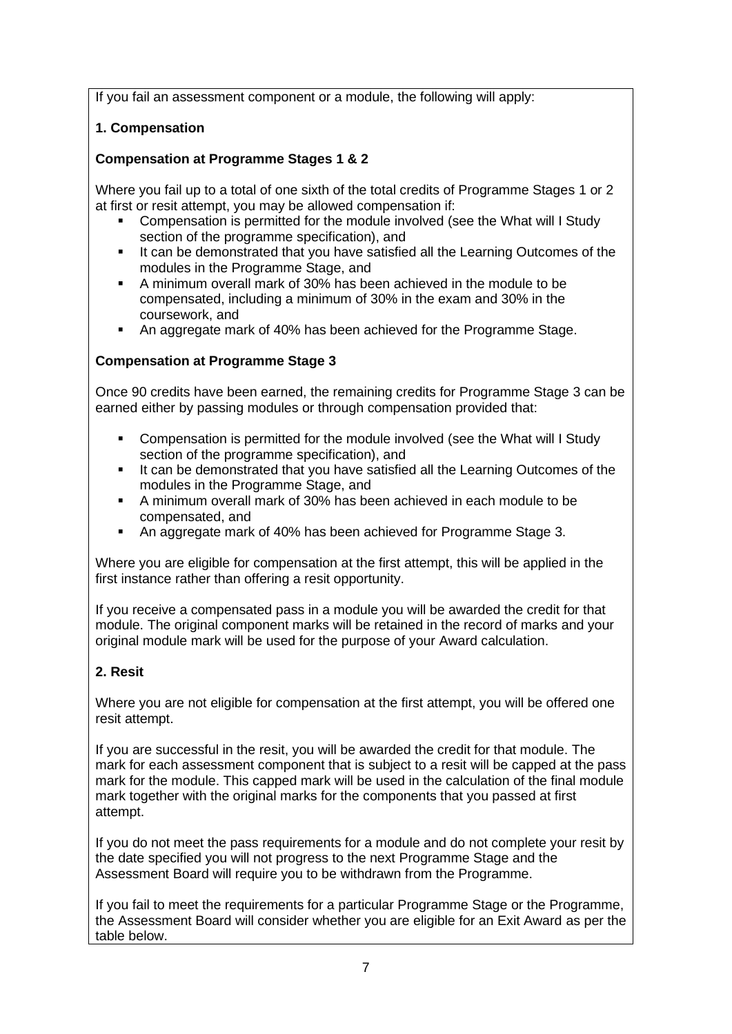If you fail an assessment component or a module, the following will apply:

# **1. Compensation**

# **Compensation at Programme Stages 1 & 2**

Where you fail up to a total of one sixth of the total credits of Programme Stages 1 or 2 at first or resit attempt, you may be allowed compensation if:

- Compensation is permitted for the module involved (see the What will I Study section of the programme specification), and
- It can be demonstrated that you have satisfied all the Learning Outcomes of the modules in the Programme Stage, and
- A minimum overall mark of 30% has been achieved in the module to be compensated, including a minimum of 30% in the exam and 30% in the coursework, and
- An aggregate mark of 40% has been achieved for the Programme Stage.

### **Compensation at Programme Stage 3**

Once 90 credits have been earned, the remaining credits for Programme Stage 3 can be earned either by passing modules or through compensation provided that:

- Compensation is permitted for the module involved (see the What will I Study section of the programme specification), and
- It can be demonstrated that you have satisfied all the Learning Outcomes of the modules in the Programme Stage, and
- A minimum overall mark of 30% has been achieved in each module to be compensated, and
- An aggregate mark of 40% has been achieved for Programme Stage 3.

Where you are eligible for compensation at the first attempt, this will be applied in the first instance rather than offering a resit opportunity.

If you receive a compensated pass in a module you will be awarded the credit for that module. The original component marks will be retained in the record of marks and your original module mark will be used for the purpose of your Award calculation.

### **2. Resit**

Where you are not eligible for compensation at the first attempt, you will be offered one resit attempt.

If you are successful in the resit, you will be awarded the credit for that module. The mark for each assessment component that is subject to a resit will be capped at the pass mark for the module. This capped mark will be used in the calculation of the final module mark together with the original marks for the components that you passed at first attempt.

If you do not meet the pass requirements for a module and do not complete your resit by the date specified you will not progress to the next Programme Stage and the Assessment Board will require you to be withdrawn from the Programme.

If you fail to meet the requirements for a particular Programme Stage or the Programme, the Assessment Board will consider whether you are eligible for an Exit Award as per the table below.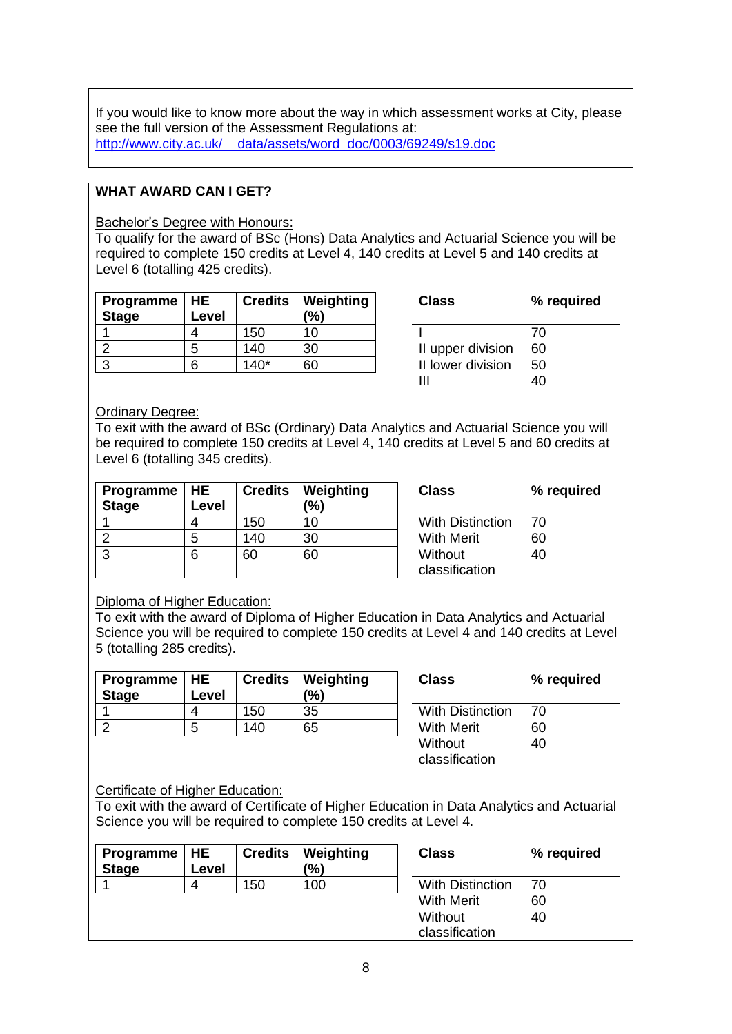If you would like to know more about the way in which assessment works at City, please see the full version of the Assessment Regulations at: [http://www.city.ac.uk/\\_\\_data/assets/word\\_doc/0003/69249/s19.doc](http://www.city.ac.uk/__data/assets/word_doc/0003/69249/s19.doc)

### **WHAT AWARD CAN I GET?**

Bachelor's Degree with Honours:

To qualify for the award of BSc (Hons) Data Analytics and Actuarial Science you will be required to complete 150 credits at Level 4, 140 credits at Level 5 and 140 credits at Level 6 (totalling 425 credits).

| Programme   HE<br><b>Stage</b> | Level |        | <b>Credits   Weighting</b><br>(%) | <b>Class</b>      | ℅  |
|--------------------------------|-------|--------|-----------------------------------|-------------------|----|
|                                |       | 150    | 10                                |                   | 70 |
|                                | 5     | 140    | 30                                | II upper division | 60 |
|                                |       | $140*$ | 60                                | II lower division | 50 |

| Class             | % required |
|-------------------|------------|
|                   | 70         |
| II upper division | 60         |
| II lower division | 50         |
| Ш                 | 40         |

#### Ordinary Degree:

To exit with the award of BSc (Ordinary) Data Analytics and Actuarial Science you will be required to complete 150 credits at Level 4, 140 credits at Level 5 and 60 credits at Level 6 (totalling 345 credits).

| <b>Programme</b><br><b>Stage</b> | <b>HE</b><br>Level |     | <b>Credits   Weighting</b><br>(% |
|----------------------------------|--------------------|-----|----------------------------------|
|                                  |                    | 150 | 10 <sup>1</sup>                  |
|                                  | 5                  | 140 | 30                               |
| ว                                | 6                  |     | 60                               |

**Class % required** With Distinction 70 With Merit 60 Without classification 40

### Diploma of Higher Education:

To exit with the award of Diploma of Higher Education in Data Analytics and Actuarial Science you will be required to complete 150 credits at Level 4 and 140 credits at Level 5 (totalling 285 credits).

| Programme   HE<br><b>Stage</b> | ∟evel |     | <b>Credits   Weighting</b><br>(%) | <b>Class</b>            | %  |
|--------------------------------|-------|-----|-----------------------------------|-------------------------|----|
|                                |       | 150 | 35                                | <b>With Distinction</b> | 70 |
|                                | n     | 140 | 65                                | <b>With Merit</b>       | 60 |
|                                |       |     |                                   |                         |    |

| Class                     | % required |
|---------------------------|------------|
| With Distinction          | 70         |
| With Merit                | 60         |
| Without<br>classification | 40         |

### Certificate of Higher Education:

To exit with the award of Certificate of Higher Education in Data Analytics and Actuarial Science you will be required to complete 150 credits at Level 4.

| Programme $ HE$<br><b>Stage</b> | Level | <b>Credits</b> | <b>Weighting</b><br>(%) | <b>Class</b>              | % required |
|---------------------------------|-------|----------------|-------------------------|---------------------------|------------|
|                                 | 4     | 150            | 100                     | <b>With Distinction</b>   | 70         |
|                                 |       |                |                         | <b>With Merit</b>         | 60         |
|                                 |       |                |                         | Without<br>classification | 40         |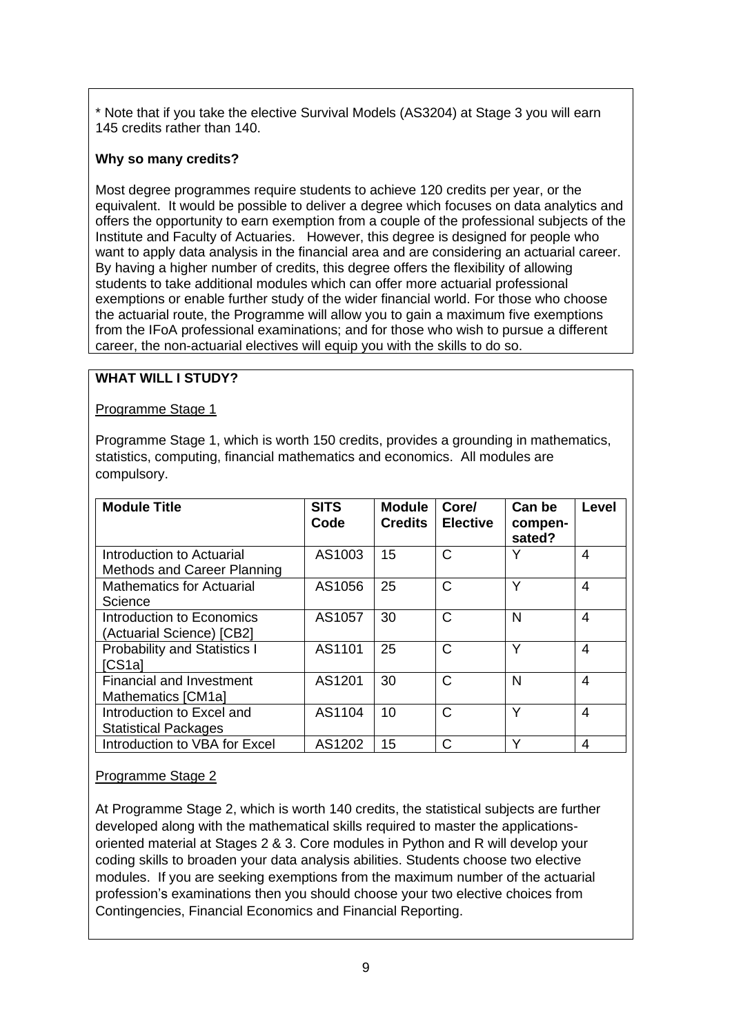\* Note that if you take the elective Survival Models (AS3204) at Stage 3 you will earn 145 credits rather than 140.

#### **Why so many credits?**

Most degree programmes require students to achieve 120 credits per year, or the equivalent. It would be possible to deliver a degree which focuses on data analytics and offers the opportunity to earn exemption from a couple of the professional subjects of the Institute and Faculty of Actuaries. However, this degree is designed for people who want to apply data analysis in the financial area and are considering an actuarial career. By having a higher number of credits, this degree offers the flexibility of allowing students to take additional modules which can offer more actuarial professional exemptions or enable further study of the wider financial world. For those who choose the actuarial route, the Programme will allow you to gain a maximum five exemptions from the IFoA professional examinations; and for those who wish to pursue a different career, the non-actuarial electives will equip you with the skills to do so.

### **WHAT WILL I STUDY?**

Programme Stage 1

Programme Stage 1, which is worth 150 credits, provides a grounding in mathematics, statistics, computing, financial mathematics and economics. All modules are compulsory.

| <b>Module Title</b>                                      | <b>SITS</b><br>Code | <b>Module</b><br><b>Credits</b> | Core/<br><b>Elective</b> | Can be<br>compen-<br>sated? | Level |
|----------------------------------------------------------|---------------------|---------------------------------|--------------------------|-----------------------------|-------|
| Introduction to Actuarial<br>Methods and Career Planning | AS1003              | 15                              | C                        | Υ                           | 4     |
| <b>Mathematics for Actuarial</b><br>Science              | AS1056              | 25                              | C                        | Υ                           | 4     |
| Introduction to Economics<br>(Actuarial Science) [CB2]   | AS1057              | 30                              | C                        | N                           | 4     |
| <b>Probability and Statistics I</b><br>[CS1a]            | AS1101              | 25                              | C                        | Υ                           | 4     |
| <b>Financial and Investment</b><br>Mathematics [CM1a]    | AS1201              | 30                              | C                        | N                           | 4     |
| Introduction to Excel and<br><b>Statistical Packages</b> | AS1104              | 10                              | C                        | v                           | 4     |
| Introduction to VBA for Excel                            | AS1202              | 15                              | C                        | $\checkmark$                | 4     |

### Programme Stage 2

At Programme Stage 2, which is worth 140 credits, the statistical subjects are further developed along with the mathematical skills required to master the applicationsoriented material at Stages 2 & 3. Core modules in Python and R will develop your coding skills to broaden your data analysis abilities. Students choose two elective modules. If you are seeking exemptions from the maximum number of the actuarial profession's examinations then you should choose your two elective choices from Contingencies, Financial Economics and Financial Reporting.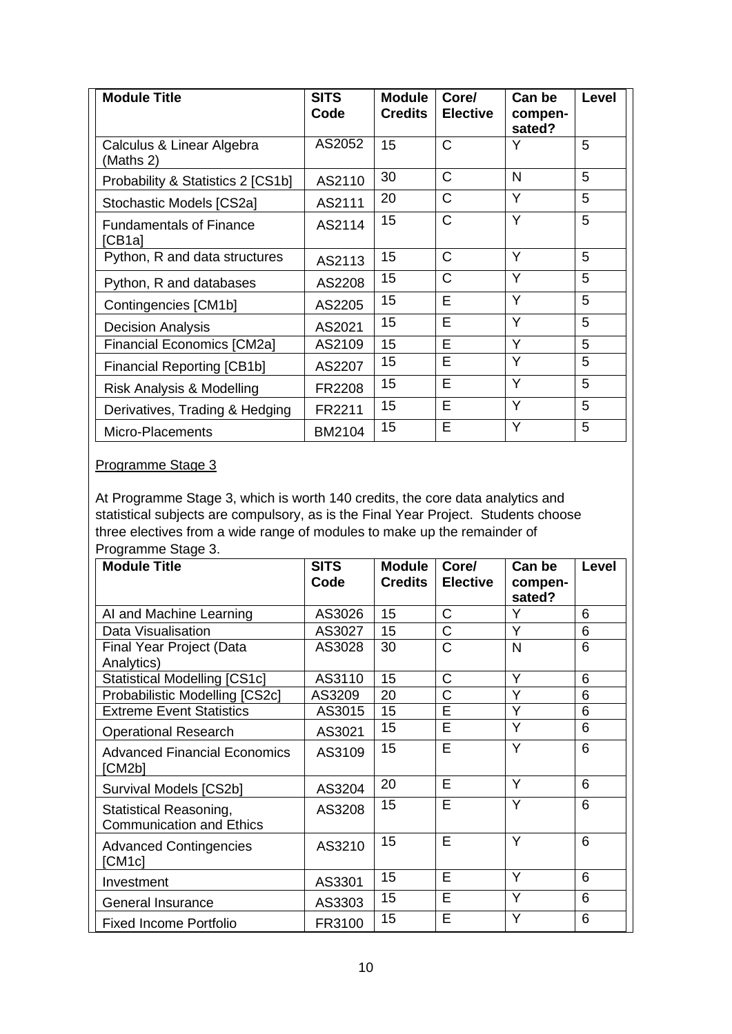| <b>Module Title</b>                      | <b>SITS</b><br>Code | <b>Module</b><br><b>Credits</b> | Core/<br><b>Elective</b> | Can be<br>compen-<br>sated? | Level |
|------------------------------------------|---------------------|---------------------------------|--------------------------|-----------------------------|-------|
| Calculus & Linear Algebra<br>(Maths 2)   | AS2052              | 15                              | Ć                        | Y                           | 5     |
| Probability & Statistics 2 [CS1b]        | AS2110              | 30                              | C                        | N                           | 5     |
| Stochastic Models [CS2a]                 | AS2111              | 20                              | C                        | Y                           | 5     |
| <b>Fundamentals of Finance</b><br>[CB1a] | AS2114              | 15                              | C                        | Y                           | 5     |
| Python, R and data structures            | AS2113              | 15                              | C                        | Y                           | 5     |
| Python, R and databases                  | AS2208              | 15                              | C                        | Y                           | 5     |
| Contingencies [CM1b]                     | AS2205              | 15                              | E                        | Y                           | 5     |
| <b>Decision Analysis</b>                 | AS2021              | 15                              | E                        | Y                           | 5     |
| <b>Financial Economics [CM2a]</b>        | AS2109              | 15                              | E                        | Y                           | 5     |
| <b>Financial Reporting [CB1b]</b>        | AS2207              | 15                              | E                        | Y                           | 5     |
| Risk Analysis & Modelling                | FR2208              | 15                              | E                        | Y                           | 5     |
| Derivatives, Trading & Hedging           | FR2211              | 15                              | E                        | Y                           | 5     |
| Micro-Placements                         | BM2104              | 15                              | E                        | Y                           | 5     |

# Programme Stage 3

At Programme Stage 3, which is worth 140 credits, the core data analytics and statistical subjects are compulsory, as is the Final Year Project. Students choose three electives from a wide range of modules to make up the remainder of Programme Stage 3.

| <b>Module Title</b>                                              | <b>SITS</b><br>Code | <b>Module</b><br><b>Credits</b> | Core/<br><b>Elective</b> | Can be<br>compen-<br>sated? | <b>Level</b> |
|------------------------------------------------------------------|---------------------|---------------------------------|--------------------------|-----------------------------|--------------|
| AI and Machine Learning                                          | AS3026              | 15                              | C                        | Y                           | 6            |
| Data Visualisation                                               | AS3027              | 15                              | $\mathsf{C}$             | Y                           | 6            |
| Final Year Project (Data<br>Analytics)                           | AS3028              | 30                              | $\mathsf{C}$             | N                           | 6            |
| <b>Statistical Modelling [CS1c]</b>                              | AS3110              | 15                              | C                        | Y                           | 6            |
| Probabilistic Modelling [CS2c]                                   | AS3209              | 20                              | C                        | Y                           | 6            |
| <b>Extreme Event Statistics</b>                                  | AS3015              | 15                              | E                        | Y                           | 6            |
| <b>Operational Research</b>                                      | AS3021              | 15                              | E                        | Y                           | 6            |
| <b>Advanced Financial Economics</b><br>[CM2b]                    | AS3109              | 15                              | E                        | Y                           | 6            |
| Survival Models [CS2b]                                           | AS3204              | 20                              | E                        | Y                           | 6            |
| <b>Statistical Reasoning,</b><br><b>Communication and Ethics</b> | AS3208              | 15                              | E                        | Y                           | 6            |
| <b>Advanced Contingencies</b><br>[CM1c]                          | AS3210              | 15                              | E                        | Y                           | 6            |
| Investment                                                       | AS3301              | 15                              | E                        | Y                           | 6            |
| <b>General Insurance</b>                                         | AS3303              | 15                              | E                        | Y                           | 6            |
| <b>Fixed Income Portfolio</b>                                    | FR3100              | 15                              | E                        | Y                           | 6            |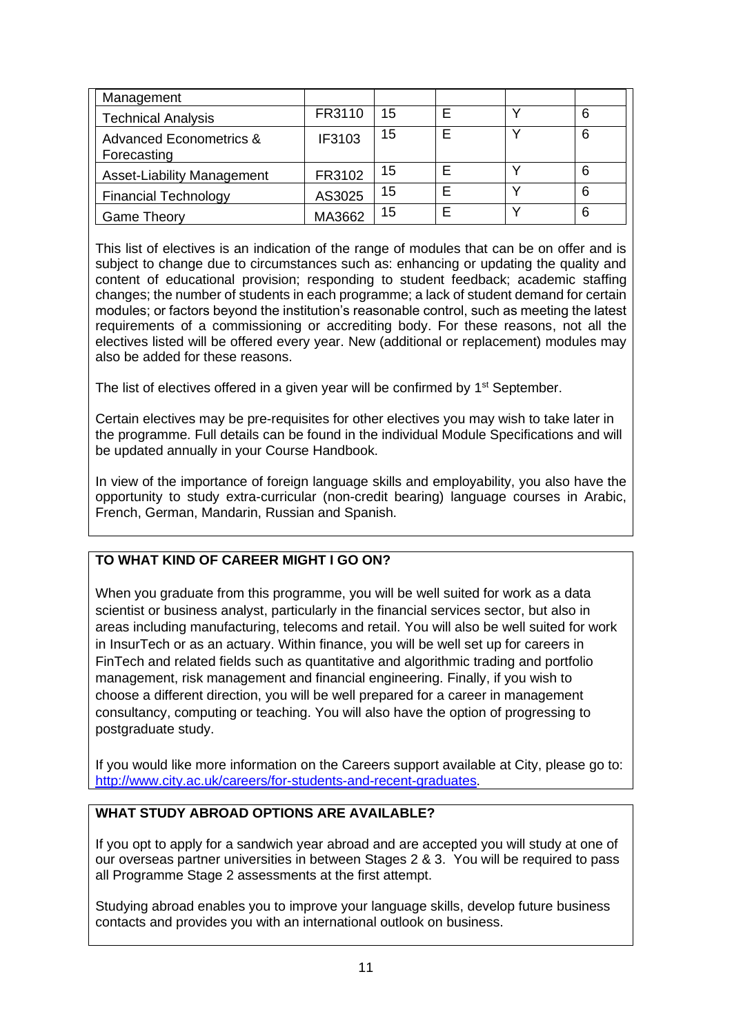| Management                             |        |     |  |   |
|----------------------------------------|--------|-----|--|---|
| <b>Technical Analysis</b>              | FR3110 | -15 |  | 6 |
| Advanced Econometrics &<br>Forecasting | IF3103 | 15  |  | 6 |
| <b>Asset-Liability Management</b>      | FR3102 | 15  |  | 6 |
| <b>Financial Technology</b>            | AS3025 | 15  |  | 6 |
| <b>Game Theory</b>                     | MA3662 | 15  |  | 6 |

This list of electives is an indication of the range of modules that can be on offer and is subject to change due to circumstances such as: enhancing or updating the quality and content of educational provision; responding to student feedback; academic staffing changes; the number of students in each programme; a lack of student demand for certain modules; or factors beyond the institution's reasonable control, such as meeting the latest requirements of a commissioning or accrediting body. For these reasons, not all the electives listed will be offered every year. New (additional or replacement) modules may also be added for these reasons.

The list of electives offered in a given year will be confirmed by 1<sup>st</sup> September.

Certain electives may be pre-requisites for other electives you may wish to take later in the programme. Full details can be found in the individual Module Specifications and will be updated annually in your Course Handbook.

In view of the importance of foreign language skills and employability, you also have the opportunity to study extra-curricular (non-credit bearing) language courses in Arabic, French, German, Mandarin, Russian and Spanish.

### **TO WHAT KIND OF CAREER MIGHT I GO ON?**

When you graduate from this programme, you will be well suited for work as a data scientist or business analyst, particularly in the financial services sector, but also in areas including manufacturing, telecoms and retail. You will also be well suited for work in InsurTech or as an actuary. Within finance, you will be well set up for careers in FinTech and related fields such as quantitative and algorithmic trading and portfolio management, risk management and financial engineering. Finally, if you wish to choose a different direction, you will be well prepared for a career in management consultancy, computing or teaching. You will also have the option of progressing to postgraduate study.

If you would like more information on the Careers support available at City, please go to: [http://www.city.ac.uk/careers/for-students-and-recent-graduates.](http://www.city.ac.uk/careers/for-students-and-recent-graduates)

# **WHAT STUDY ABROAD OPTIONS ARE AVAILABLE?**

If you opt to apply for a sandwich year abroad and are accepted you will study at one of our overseas partner universities in between Stages 2 & 3. You will be required to pass all Programme Stage 2 assessments at the first attempt.

Studying abroad enables you to improve your language skills, develop future business contacts and provides you with an international outlook on business.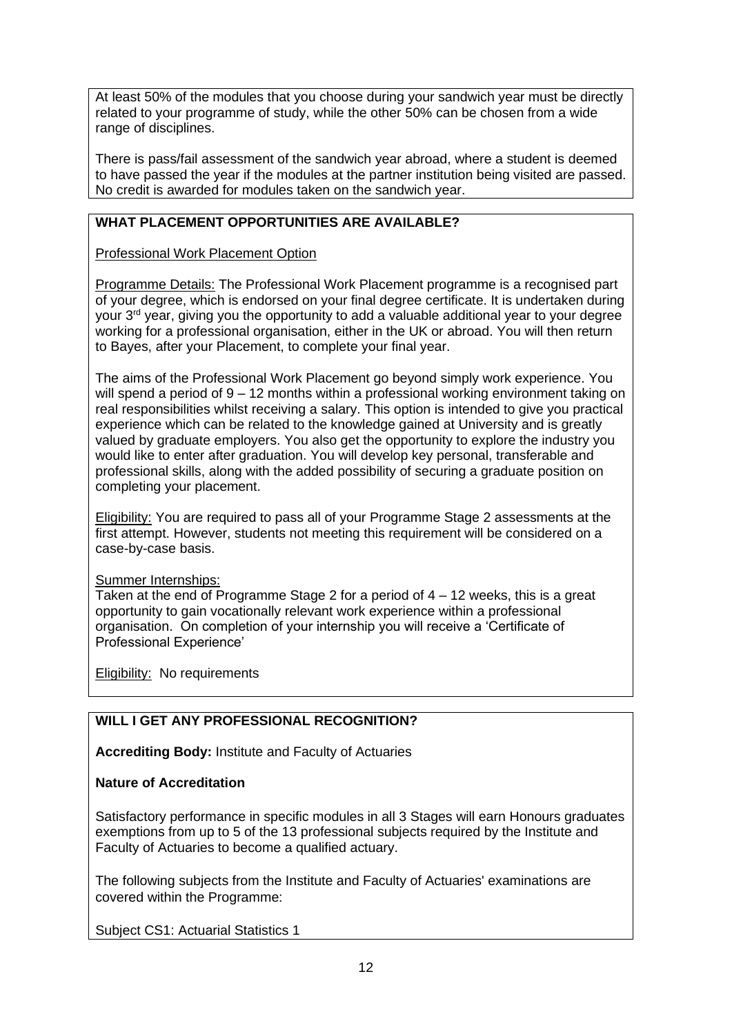At least 50% of the modules that you choose during your sandwich year must be directly related to your programme of study, while the other 50% can be chosen from a wide range of disciplines.

There is pass/fail assessment of the sandwich year abroad, where a student is deemed to have passed the year if the modules at the partner institution being visited are passed. No credit is awarded for modules taken on the sandwich year.

# **WHAT PLACEMENT OPPORTUNITIES ARE AVAILABLE?**

Professional Work Placement Option

Programme Details: The Professional Work Placement programme is a recognised part of your degree, which is endorsed on your final degree certificate. It is undertaken during your 3rd year, giving you the opportunity to add a valuable additional year to your degree working for a professional organisation, either in the UK or abroad. You will then return to Bayes, after your Placement, to complete your final year.

The aims of the Professional Work Placement go beyond simply work experience. You will spend a period of 9 – 12 months within a professional working environment taking on real responsibilities whilst receiving a salary. This option is intended to give you practical experience which can be related to the knowledge gained at University and is greatly valued by graduate employers. You also get the opportunity to explore the industry you would like to enter after graduation. You will develop key personal, transferable and professional skills, along with the added possibility of securing a graduate position on completing your placement.

Eligibility: You are required to pass all of your Programme Stage 2 assessments at the first attempt. However, students not meeting this requirement will be considered on a case-by-case basis.

#### Summer Internships:

Taken at the end of Programme Stage 2 for a period of  $4 - 12$  weeks, this is a great opportunity to gain vocationally relevant work experience within a professional organisation. On completion of your internship you will receive a 'Certificate of Professional Experience'

**Eligibility:** No requirements

# **WILL I GET ANY PROFESSIONAL RECOGNITION?**

**Accrediting Body:** Institute and Faculty of Actuaries

### **Nature of Accreditation**

Satisfactory performance in specific modules in all 3 Stages will earn Honours graduates exemptions from up to 5 of the 13 professional subjects required by the Institute and Faculty of Actuaries to become a qualified actuary.

The following subjects from the Institute and Faculty of Actuaries' examinations are covered within the Programme:

Subject CS1: Actuarial Statistics 1